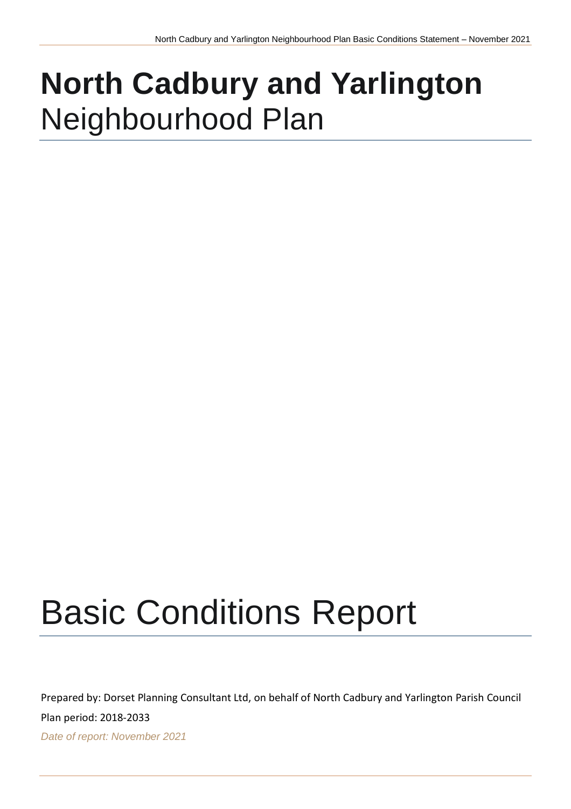## **North Cadbury and Yarlington** Neighbourhood Plan

# Basic Conditions Report

Prepared by: Dorset Planning Consultant Ltd, on behalf of North Cadbury and Yarlington Parish Council

Plan period: 2018-2033

*Date of report: November 2021*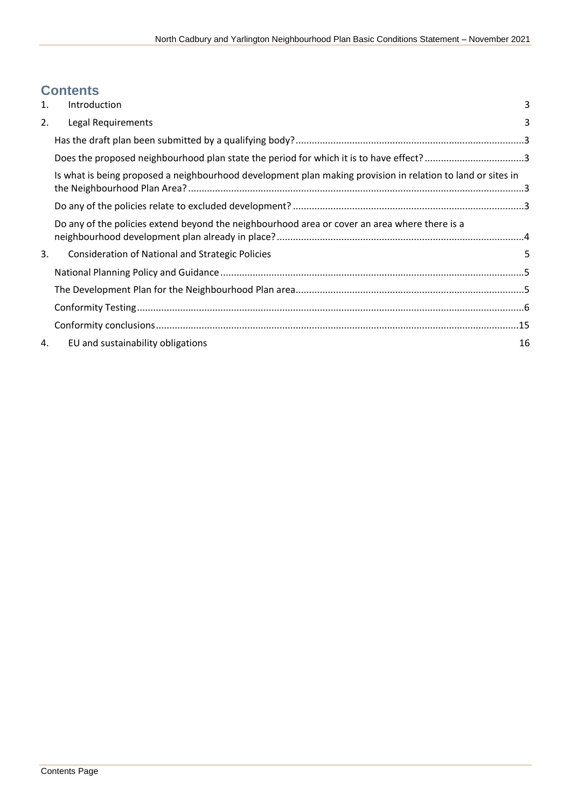## **Contents**

| 1. | <b>Introduction</b>                                                                                         | $\overline{3}$ |
|----|-------------------------------------------------------------------------------------------------------------|----------------|
| 2. | Legal Requirements                                                                                          | 3              |
|    |                                                                                                             |                |
|    | Does the proposed neighbourhood plan state the period for which it is to have effect?3                      |                |
|    | Is what is being proposed a neighbourhood development plan making provision in relation to land or sites in |                |
|    |                                                                                                             |                |
|    | Do any of the policies extend beyond the neighbourhood area or cover an area where there is a               |                |
| 3. | <b>Consideration of National and Strategic Policies</b>                                                     | 5              |
|    |                                                                                                             |                |
|    |                                                                                                             |                |
|    |                                                                                                             |                |
|    |                                                                                                             |                |
| 4. | EU and sustainability obligations                                                                           | 16             |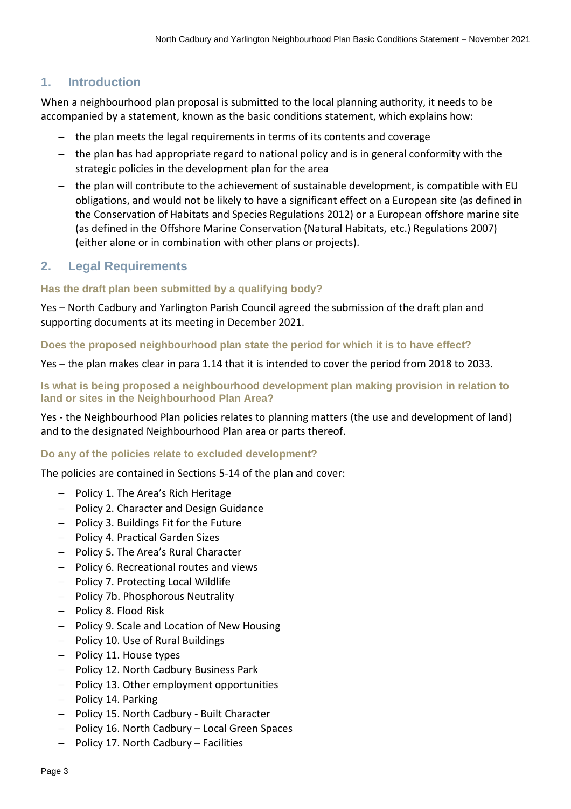## <span id="page-2-0"></span>**1. Introduction**

When a neighbourhood plan proposal is submitted to the local planning authority, it needs to be accompanied by a statement, known as the basic conditions statement, which explains how:

- − the plan meets the legal requirements in terms of its contents and coverage
- − the plan has had appropriate regard to national policy and is in general conformity with the strategic policies in the development plan for the area
- − the plan will contribute to the achievement of sustainable development, is compatible with EU obligations, and would not be likely to have a significant effect on a European site (as defined in the Conservation of Habitats and Species Regulations 2012) or a European offshore marine site (as defined in the Offshore Marine Conservation (Natural Habitats, etc.) Regulations 2007) (either alone or in combination with other plans or projects).

## <span id="page-2-1"></span>**2. Legal Requirements**

## <span id="page-2-2"></span>**Has the draft plan been submitted by a qualifying body?**

Yes – North Cadbury and Yarlington Parish Council agreed the submission of the draft plan and supporting documents at its meeting in December 2021.

<span id="page-2-3"></span>**Does the proposed neighbourhood plan state the period for which it is to have effect?**

Yes – the plan makes clear in para 1.14 that it is intended to cover the period from 2018 to 2033.

<span id="page-2-4"></span>**Is what is being proposed a neighbourhood development plan making provision in relation to land or sites in the Neighbourhood Plan Area?**

Yes - the Neighbourhood Plan policies relates to planning matters (the use and development of land) and to the designated Neighbourhood Plan area or parts thereof.

## <span id="page-2-5"></span>**Do any of the policies relate to excluded development?**

The policies are contained in Sections 5-14 of the plan and cover:

- − Policy 1. The Area's Rich Heritage
- − Policy 2. Character and Design Guidance
- − Policy 3. Buildings Fit for the Future
- − Policy 4. Practical Garden Sizes
- − Policy 5. The Area's Rural Character
- − Policy 6. Recreational routes and views
- − Policy 7. Protecting Local Wildlife
- − Policy 7b. Phosphorous Neutrality
- − Policy 8. Flood Risk
- − Policy 9. Scale and Location of New Housing
- − Policy 10. Use of Rural Buildings
- − Policy 11. House types
- − Policy 12. North Cadbury Business Park
- − Policy 13. Other employment opportunities
- − Policy 14. Parking
- − Policy 15. North Cadbury Built Character
- − Policy 16. North Cadbury Local Green Spaces
- − Policy 17. North Cadbury Facilities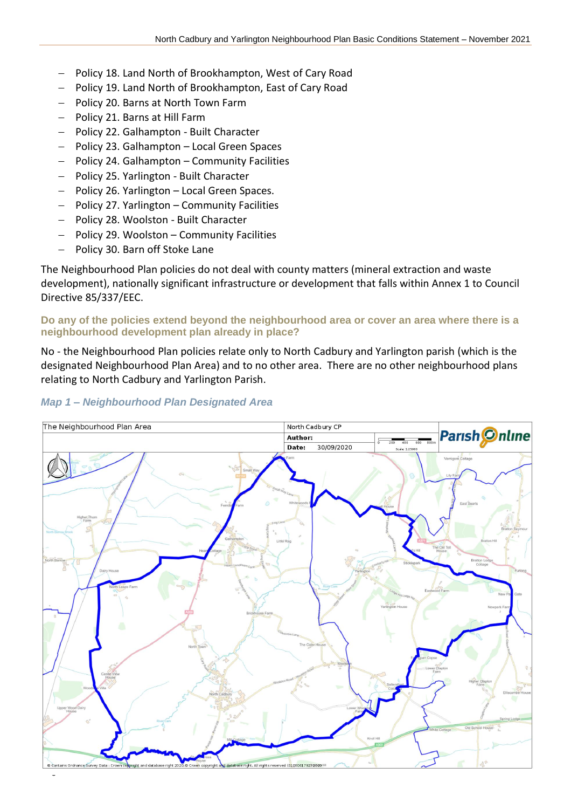- − Policy 18. Land North of Brookhampton, West of Cary Road
- − Policy 19. Land North of Brookhampton, East of Cary Road
- − Policy 20. Barns at North Town Farm
- − Policy 21. Barns at Hill Farm
- − Policy 22. Galhampton Built Character
- − Policy 23. Galhampton Local Green Spaces
- − Policy 24. Galhampton Community Facilities
- − Policy 25. Yarlington Built Character
- − Policy 26. Yarlington Local Green Spaces.
- − Policy 27. Yarlington Community Facilities
- − Policy 28. Woolston Built Character
- − Policy 29. Woolston Community Facilities
- − Policy 30. Barn off Stoke Lane

The Neighbourhood Plan policies do not deal with county matters (mineral extraction and waste development), nationally significant infrastructure or development that falls within Annex 1 to Council Directive 85/337/EEC.

<span id="page-3-0"></span>**Do any of the policies extend beyond the neighbourhood area or cover an area where there is a neighbourhood development plan already in place?**

No - the Neighbourhood Plan policies relate only to North Cadbury and Yarlington parish (which is the designated Neighbourhood Plan Area) and to no other area. There are no other neighbourhood plans relating to North Cadbury and Yarlington Parish.

#### *Map 1 – Neighbourhood Plan Designated Area*

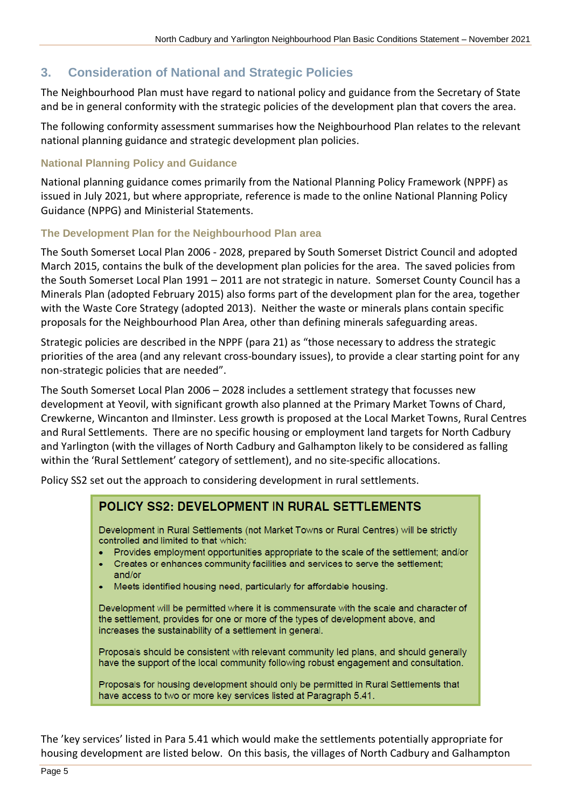## <span id="page-4-0"></span>**3. Consideration of National and Strategic Policies**

The Neighbourhood Plan must have regard to national policy and guidance from the Secretary of State and be in general conformity with the strategic policies of the development plan that covers the area.

The following conformity assessment summarises how the Neighbourhood Plan relates to the relevant national planning guidance and strategic development plan policies.

## <span id="page-4-1"></span>**National Planning Policy and Guidance**

National planning guidance comes primarily from the National Planning Policy Framework (NPPF) as issued in July 2021, but where appropriate, reference is made to the online National Planning Policy Guidance (NPPG) and Ministerial Statements.

## <span id="page-4-2"></span>**The Development Plan for the Neighbourhood Plan area**

The South Somerset Local Plan 2006 - 2028, prepared by South Somerset District Council and adopted March 2015, contains the bulk of the development plan policies for the area. The saved policies from the South Somerset Local Plan 1991 – 2011 are not strategic in nature. Somerset County Council has a Minerals Plan (adopted February 2015) also forms part of the development plan for the area, together with the Waste Core Strategy (adopted 2013). Neither the waste or minerals plans contain specific proposals for the Neighbourhood Plan Area, other than defining minerals safeguarding areas.

Strategic policies are described in the NPPF (para 21) as "those necessary to address the strategic priorities of the area (and any relevant cross-boundary issues), to provide a clear starting point for any non-strategic policies that are needed".

The South Somerset Local Plan 2006 – 2028 includes a settlement strategy that focusses new development at Yeovil, with significant growth also planned at the Primary Market Towns of Chard, Crewkerne, Wincanton and Ilminster. Less growth is proposed at the Local Market Towns, Rural Centres and Rural Settlements. There are no specific housing or employment land targets for North Cadbury and Yarlington (with the villages of North Cadbury and Galhampton likely to be considered as falling within the 'Rural Settlement' category of settlement), and no site-specific allocations.

Policy SS2 set out the approach to considering development in rural settlements.

## **POLICY SS2: DEVELOPMENT IN RURAL SETTLEMENTS**

Development in Rural Settlements (not Market Towns or Rural Centres) will be strictly controlled and limited to that which:

- Provides employment opportunities appropriate to the scale of the settlement; and/or
- Creates or enhances community facilities and services to serve the settlement; and/or
- Meets identified housing need, particularly for affordable housing.

Development will be permitted where it is commensurate with the scale and character of the settlement, provides for one or more of the types of development above, and increases the sustainability of a settlement in general.

Proposals should be consistent with relevant community led plans, and should generally have the support of the local community following robust engagement and consultation.

Proposals for housing development should only be permitted in Rural Settlements that have access to two or more key services listed at Paragraph 5.41.

The 'key services' listed in Para 5.41 which would make the settlements potentially appropriate for housing development are listed below. On this basis, the villages of North Cadbury and Galhampton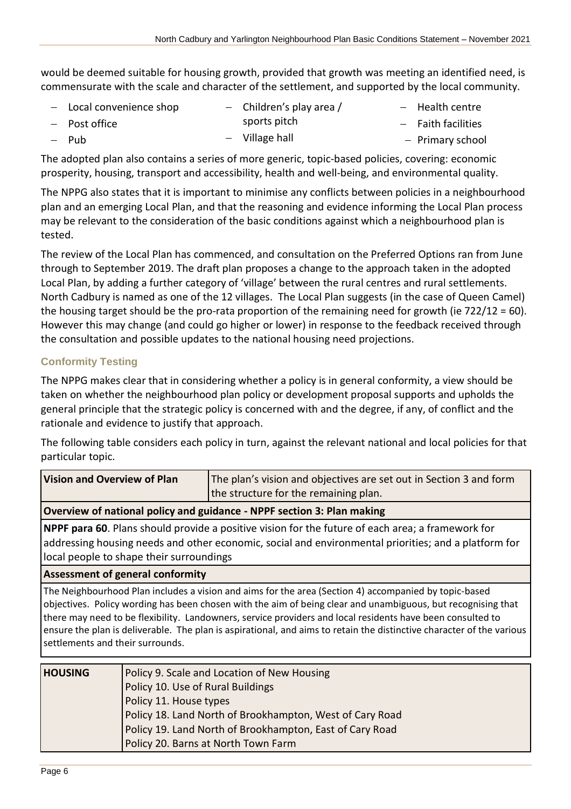would be deemed suitable for housing growth, provided that growth was meeting an identified need, is commensurate with the scale and character of the settlement, and supported by the local community.

| $-$ Local convenience shop | - Children's play area / | $-$ Health centre    |
|----------------------------|--------------------------|----------------------|
| - Post office              | sports pitch             | $-$ Faith facilities |
| – Pub                      | $-$ Village hall         | - Primary school     |

The adopted plan also contains a series of more generic, topic-based policies, covering: economic prosperity, housing, transport and accessibility, health and well-being, and environmental quality.

The NPPG also states that it is important to minimise any conflicts between policies in a neighbourhood plan and an emerging Local Plan, and that the reasoning and evidence informing the Local Plan process may be relevant to the consideration of the basic conditions against which a neighbourhood plan is tested.

The review of the Local Plan has commenced, and consultation on the Preferred Options ran from June through to September 2019. The draft plan proposes a change to the approach taken in the adopted Local Plan, by adding a further category of 'village' between the rural centres and rural settlements. North Cadbury is named as one of the 12 villages. The Local Plan suggests (in the case of Queen Camel) the housing target should be the pro-rata proportion of the remaining need for growth (ie 722/12 = 60). However this may change (and could go higher or lower) in response to the feedback received through the consultation and possible updates to the national housing need projections.

## <span id="page-5-0"></span>**Conformity Testing**

The NPPG makes clear that in considering whether a policy is in general conformity, a view should be taken on whether the neighbourhood plan policy or development proposal supports and upholds the general principle that the strategic policy is concerned with and the degree, if any, of conflict and the rationale and evidence to justify that approach.

The following table considers each policy in turn, against the relevant national and local policies for that particular topic.

| <b>Vision and Overview of Plan</b>                                                                                                                                                                                                                                                                                                                                                                                                                                                               |                                                             | The plan's vision and objectives are set out in Section 3 and form                                                                                                                                         |  |
|--------------------------------------------------------------------------------------------------------------------------------------------------------------------------------------------------------------------------------------------------------------------------------------------------------------------------------------------------------------------------------------------------------------------------------------------------------------------------------------------------|-------------------------------------------------------------|------------------------------------------------------------------------------------------------------------------------------------------------------------------------------------------------------------|--|
|                                                                                                                                                                                                                                                                                                                                                                                                                                                                                                  |                                                             | the structure for the remaining plan.                                                                                                                                                                      |  |
|                                                                                                                                                                                                                                                                                                                                                                                                                                                                                                  |                                                             | Overview of national policy and guidance - NPPF section 3: Plan making                                                                                                                                     |  |
| NPPF para 60. Plans should provide a positive vision for the future of each area; a framework for<br>addressing housing needs and other economic, social and environmental priorities; and a platform for<br>local people to shape their surroundings                                                                                                                                                                                                                                            |                                                             |                                                                                                                                                                                                            |  |
| <b>Assessment of general conformity</b>                                                                                                                                                                                                                                                                                                                                                                                                                                                          |                                                             |                                                                                                                                                                                                            |  |
| The Neighbourhood Plan includes a vision and aims for the area (Section 4) accompanied by topic-based<br>objectives. Policy wording has been chosen with the aim of being clear and unambiguous, but recognising that<br>there may need to be flexibility. Landowners, service providers and local residents have been consulted to<br>ensure the plan is deliverable. The plan is aspirational, and aims to retain the distinctive character of the various<br>settlements and their surrounds. |                                                             |                                                                                                                                                                                                            |  |
| <b>HOUSING</b>                                                                                                                                                                                                                                                                                                                                                                                                                                                                                   | Policy 10. Use of Rural Buildings<br>Policy 11. House types | Policy 9. Scale and Location of New Housing<br>Policy 18. Land North of Brookhampton, West of Cary Road<br>Policy 19. Land North of Brookhampton, East of Cary Road<br>Policy 20. Barns at North Town Farm |  |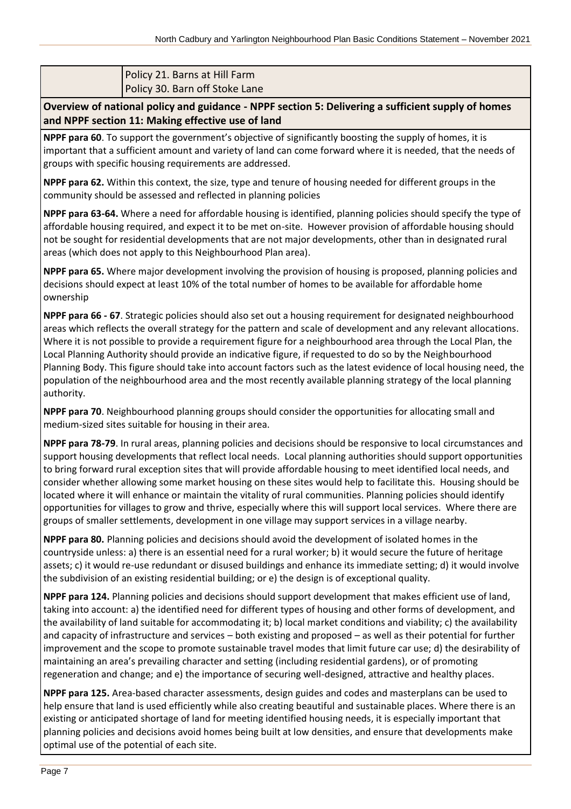## Policy 21. Barns at Hill Farm Policy 30. Barn off Stoke Lane

**Overview of national policy and guidance - NPPF section 5: Delivering a sufficient supply of homes and NPPF section 11: Making effective use of land**

**NPPF para 60**. To support the government's objective of significantly boosting the supply of homes, it is important that a sufficient amount and variety of land can come forward where it is needed, that the needs of groups with specific housing requirements are addressed.

**NPPF para 62.** Within this context, the size, type and tenure of housing needed for different groups in the community should be assessed and reflected in planning policies

**NPPF para 63-64.** Where a need for affordable housing is identified, planning policies should specify the type of affordable housing required, and expect it to be met on-site. However provision of affordable housing should not be sought for residential developments that are not major developments, other than in designated rural areas (which does not apply to this Neighbourhood Plan area).

**NPPF para 65.** Where major development involving the provision of housing is proposed, planning policies and decisions should expect at least 10% of the total number of homes to be available for affordable home ownership

**NPPF para 66 - 67**. Strategic policies should also set out a housing requirement for designated neighbourhood areas which reflects the overall strategy for the pattern and scale of development and any relevant allocations. Where it is not possible to provide a requirement figure for a neighbourhood area through the Local Plan, the Local Planning Authority should provide an indicative figure, if requested to do so by the Neighbourhood Planning Body. This figure should take into account factors such as the latest evidence of local housing need, the population of the neighbourhood area and the most recently available planning strategy of the local planning authority.

**NPPF para 70**. Neighbourhood planning groups should consider the opportunities for allocating small and medium-sized sites suitable for housing in their area.

**NPPF para 78-79**. In rural areas, planning policies and decisions should be responsive to local circumstances and support housing developments that reflect local needs. Local planning authorities should support opportunities to bring forward rural exception sites that will provide affordable housing to meet identified local needs, and consider whether allowing some market housing on these sites would help to facilitate this. Housing should be located where it will enhance or maintain the vitality of rural communities. Planning policies should identify opportunities for villages to grow and thrive, especially where this will support local services. Where there are groups of smaller settlements, development in one village may support services in a village nearby.

**NPPF para 80.** Planning policies and decisions should avoid the development of isolated homes in the countryside unless: a) there is an essential need for a rural worker; b) it would secure the future of heritage assets; c) it would re-use redundant or disused buildings and enhance its immediate setting; d) it would involve the subdivision of an existing residential building; or e) the design is of exceptional quality.

**NPPF para 124.** Planning policies and decisions should support development that makes efficient use of land, taking into account: a) the identified need for different types of housing and other forms of development, and the availability of land suitable for accommodating it; b) local market conditions and viability; c) the availability and capacity of infrastructure and services – both existing and proposed – as well as their potential for further improvement and the scope to promote sustainable travel modes that limit future car use; d) the desirability of maintaining an area's prevailing character and setting (including residential gardens), or of promoting regeneration and change; and e) the importance of securing well-designed, attractive and healthy places.

**NPPF para 125.** Area-based character assessments, design guides and codes and masterplans can be used to help ensure that land is used efficiently while also creating beautiful and sustainable places. Where there is an existing or anticipated shortage of land for meeting identified housing needs, it is especially important that planning policies and decisions avoid homes being built at low densities, and ensure that developments make optimal use of the potential of each site.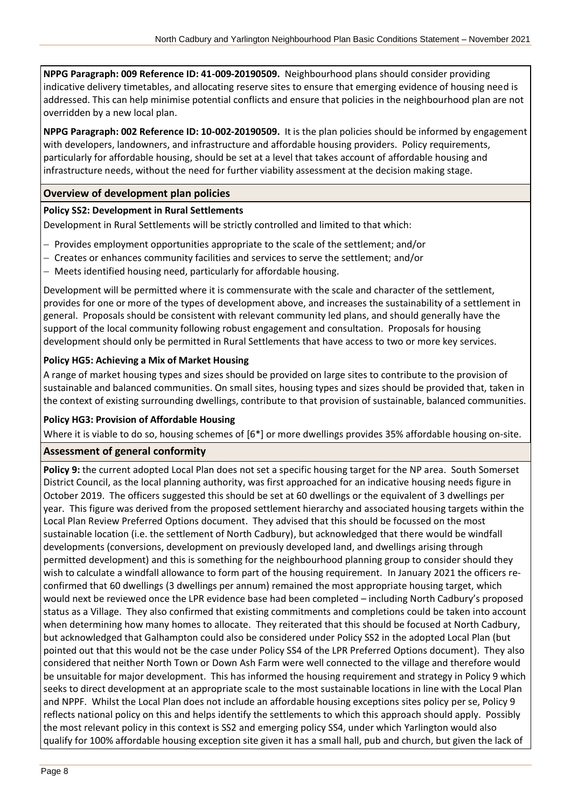**NPPG Paragraph: 009 Reference ID: 41-009-20190509.** Neighbourhood plans should consider providing indicative delivery timetables, and allocating reserve sites to ensure that emerging evidence of housing need is addressed. This can help minimise potential conflicts and ensure that policies in the neighbourhood plan are not overridden by a new local plan.

**NPPG Paragraph: 002 Reference ID: 10-002-20190509.** It is the plan policies should be informed by engagement with developers, landowners, and infrastructure and affordable housing providers. Policy requirements, particularly for affordable housing, should be set at a level that takes account of affordable housing and infrastructure needs, without the need for further viability assessment at the decision making stage.

## **Overview of development plan policies**

## **Policy SS2: Development in Rural Settlements**

Development in Rural Settlements will be strictly controlled and limited to that which:

- − Provides employment opportunities appropriate to the scale of the settlement; and/or
- − Creates or enhances community facilities and services to serve the settlement; and/or
- − Meets identified housing need, particularly for affordable housing.

Development will be permitted where it is commensurate with the scale and character of the settlement, provides for one or more of the types of development above, and increases the sustainability of a settlement in general. Proposals should be consistent with relevant community led plans, and should generally have the support of the local community following robust engagement and consultation. Proposals for housing development should only be permitted in Rural Settlements that have access to two or more key services.

#### **Policy HG5: Achieving a Mix of Market Housing**

A range of market housing types and sizes should be provided on large sites to contribute to the provision of sustainable and balanced communities. On small sites, housing types and sizes should be provided that, taken in the context of existing surrounding dwellings, contribute to that provision of sustainable, balanced communities.

#### **Policy HG3: Provision of Affordable Housing**

Where it is viable to do so, housing schemes of [6\*] or more dwellings provides 35% affordable housing on-site.

#### **Assessment of general conformity**

**Policy 9:** the current adopted Local Plan does not set a specific housing target for the NP area. South Somerset District Council, as the local planning authority, was first approached for an indicative housing needs figure in October 2019. The officers suggested this should be set at 60 dwellings or the equivalent of 3 dwellings per year. This figure was derived from the proposed settlement hierarchy and associated housing targets within the Local Plan Review Preferred Options document. They advised that this should be focussed on the most sustainable location (i.e. the settlement of North Cadbury), but acknowledged that there would be windfall developments (conversions, development on previously developed land, and dwellings arising through permitted development) and this is something for the neighbourhood planning group to consider should they wish to calculate a windfall allowance to form part of the housing requirement. In January 2021 the officers reconfirmed that 60 dwellings (3 dwellings per annum) remained the most appropriate housing target, which would next be reviewed once the LPR evidence base had been completed – including North Cadbury's proposed status as a Village. They also confirmed that existing commitments and completions could be taken into account when determining how many homes to allocate. They reiterated that this should be focused at North Cadbury, but acknowledged that Galhampton could also be considered under Policy SS2 in the adopted Local Plan (but pointed out that this would not be the case under Policy SS4 of the LPR Preferred Options document). They also considered that neither North Town or Down Ash Farm were well connected to the village and therefore would be unsuitable for major development. This has informed the housing requirement and strategy in Policy 9 which seeks to direct development at an appropriate scale to the most sustainable locations in line with the Local Plan and NPPF. Whilst the Local Plan does not include an affordable housing exceptions sites policy per se, Policy 9 reflects national policy on this and helps identify the settlements to which this approach should apply. Possibly the most relevant policy in this context is SS2 and emerging policy SS4, under which Yarlington would also qualify for 100% affordable housing exception site given it has a small hall, pub and church, but given the lack of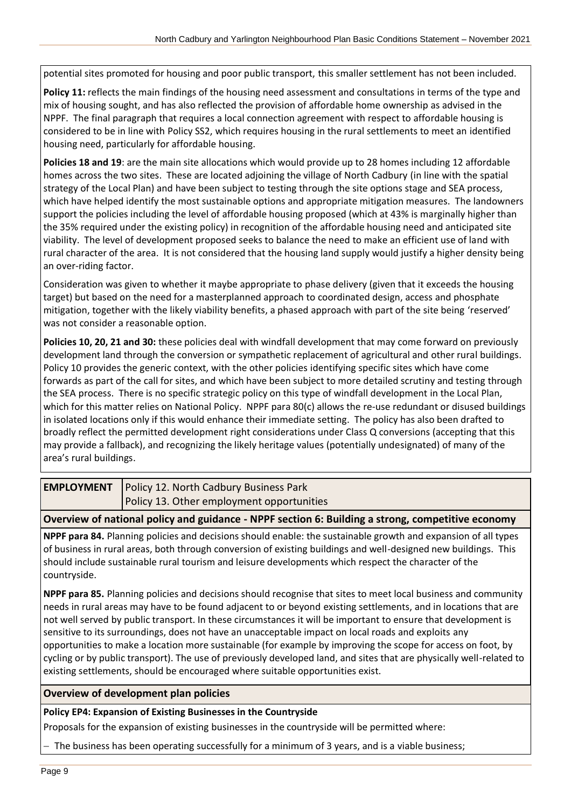potential sites promoted for housing and poor public transport, this smaller settlement has not been included.

**Policy 11:** reflects the main findings of the housing need assessment and consultations in terms of the type and mix of housing sought, and has also reflected the provision of affordable home ownership as advised in the NPPF. The final paragraph that requires a local connection agreement with respect to affordable housing is considered to be in line with Policy SS2, which requires housing in the rural settlements to meet an identified housing need, particularly for affordable housing.

**Policies 18 and 19**: are the main site allocations which would provide up to 28 homes including 12 affordable homes across the two sites. These are located adjoining the village of North Cadbury (in line with the spatial strategy of the Local Plan) and have been subject to testing through the site options stage and SEA process, which have helped identify the most sustainable options and appropriate mitigation measures. The landowners support the policies including the level of affordable housing proposed (which at 43% is marginally higher than the 35% required under the existing policy) in recognition of the affordable housing need and anticipated site viability. The level of development proposed seeks to balance the need to make an efficient use of land with rural character of the area. It is not considered that the housing land supply would justify a higher density being an over-riding factor.

Consideration was given to whether it maybe appropriate to phase delivery (given that it exceeds the housing target) but based on the need for a masterplanned approach to coordinated design, access and phosphate mitigation, together with the likely viability benefits, a phased approach with part of the site being 'reserved' was not consider a reasonable option.

**Policies 10, 20, 21 and 30:** these policies deal with windfall development that may come forward on previously development land through the conversion or sympathetic replacement of agricultural and other rural buildings. Policy 10 provides the generic context, with the other policies identifying specific sites which have come forwards as part of the call for sites, and which have been subject to more detailed scrutiny and testing through the SEA process. There is no specific strategic policy on this type of windfall development in the Local Plan, which for this matter relies on National Policy. NPPF para 80(c) allows the re-use redundant or disused buildings in isolated locations only if this would enhance their immediate setting. The policy has also been drafted to broadly reflect the permitted development right considerations under Class Q conversions (accepting that this may provide a fallback), and recognizing the likely heritage values (potentially undesignated) of many of the area's rural buildings.

| <b>EMPLOYMENT</b>   Policy 12. North Cadbury Business Park |
|------------------------------------------------------------|
| Policy 13. Other employment opportunities                  |

**Overview of national policy and guidance - NPPF section 6: Building a strong, competitive economy**

**NPPF para 84.** Planning policies and decisions should enable: the sustainable growth and expansion of all types of business in rural areas, both through conversion of existing buildings and well-designed new buildings. This should include sustainable rural tourism and leisure developments which respect the character of the countryside.

**NPPF para 85.** Planning policies and decisions should recognise that sites to meet local business and community needs in rural areas may have to be found adjacent to or beyond existing settlements, and in locations that are not well served by public transport. In these circumstances it will be important to ensure that development is sensitive to its surroundings, does not have an unacceptable impact on local roads and exploits any opportunities to make a location more sustainable (for example by improving the scope for access on foot, by cycling or by public transport). The use of previously developed land, and sites that are physically well-related to existing settlements, should be encouraged where suitable opportunities exist.

**Overview of development plan policies**

#### **Policy EP4: Expansion of Existing Businesses in the Countryside**

Proposals for the expansion of existing businesses in the countryside will be permitted where:

The business has been operating successfully for a minimum of 3 years, and is a viable business;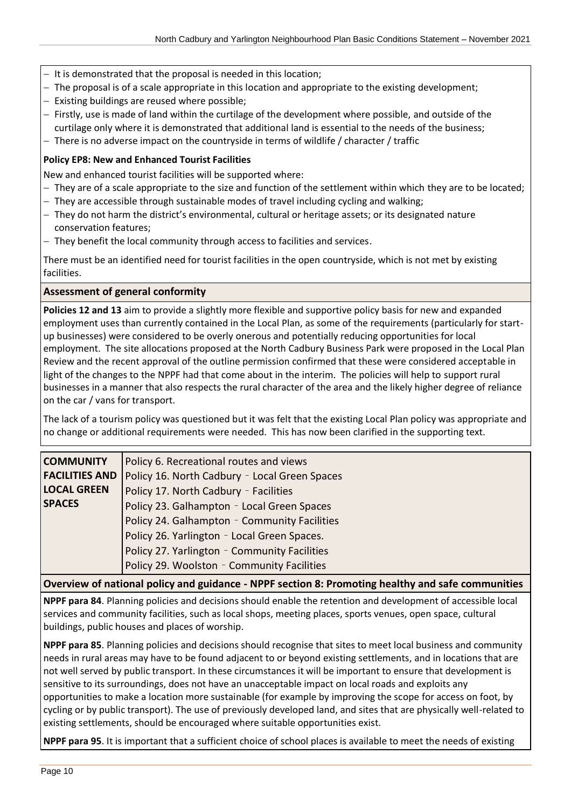- − It is demonstrated that the proposal is needed in this location;
- − The proposal is of a scale appropriate in this location and appropriate to the existing development;
- − Existing buildings are reused where possible;
- − Firstly, use is made of land within the curtilage of the development where possible, and outside of the curtilage only where it is demonstrated that additional land is essential to the needs of the business;
- − There is no adverse impact on the countryside in terms of wildlife / character / traffic

#### **Policy EP8: New and Enhanced Tourist Facilities**

New and enhanced tourist facilities will be supported where:

- − They are of a scale appropriate to the size and function of the settlement within which they are to be located;
- − They are accessible through sustainable modes of travel including cycling and walking;
- − They do not harm the district's environmental, cultural or heritage assets; or its designated nature conservation features;
- − They benefit the local community through access to facilities and services.

There must be an identified need for tourist facilities in the open countryside, which is not met by existing facilities.

#### **Assessment of general conformity**

**Policies 12 and 13** aim to provide a slightly more flexible and supportive policy basis for new and expanded employment uses than currently contained in the Local Plan, as some of the requirements (particularly for startup businesses) were considered to be overly onerous and potentially reducing opportunities for local employment. The site allocations proposed at the North Cadbury Business Park were proposed in the Local Plan Review and the recent approval of the outline permission confirmed that these were considered acceptable in light of the changes to the NPPF had that come about in the interim. The policies will help to support rural businesses in a manner that also respects the rural character of the area and the likely higher degree of reliance on the car / vans for transport.

The lack of a tourism policy was questioned but it was felt that the existing Local Plan policy was appropriate and no change or additional requirements were needed. This has now been clarified in the supporting text.

| <b>COMMUNITY</b>      | Policy 6. Recreational routes and views       |
|-----------------------|-----------------------------------------------|
| <b>FACILITIES AND</b> | Policy 16. North Cadbury - Local Green Spaces |
| <b>LOCAL GREEN</b>    | Policy 17. North Cadbury - Facilities         |
| <b>SPACES</b>         | Policy 23. Galhampton - Local Green Spaces    |
|                       | Policy 24. Galhampton - Community Facilities  |
|                       | Policy 26. Yarlington - Local Green Spaces.   |
|                       | Policy 27. Yarlington - Community Facilities  |
|                       | Policy 29. Woolston - Community Facilities    |

#### **Overview of national policy and guidance - NPPF section 8: Promoting healthy and safe communities**

**NPPF para 84**. Planning policies and decisions should enable the retention and development of accessible local services and community facilities, such as local shops, meeting places, sports venues, open space, cultural buildings, public houses and places of worship.

**NPPF para 85**. Planning policies and decisions should recognise that sites to meet local business and community needs in rural areas may have to be found adjacent to or beyond existing settlements, and in locations that are not well served by public transport. In these circumstances it will be important to ensure that development is sensitive to its surroundings, does not have an unacceptable impact on local roads and exploits any opportunities to make a location more sustainable (for example by improving the scope for access on foot, by cycling or by public transport). The use of previously developed land, and sites that are physically well-related to existing settlements, should be encouraged where suitable opportunities exist.

**NPPF para 95**. It is important that a sufficient choice of school places is available to meet the needs of existing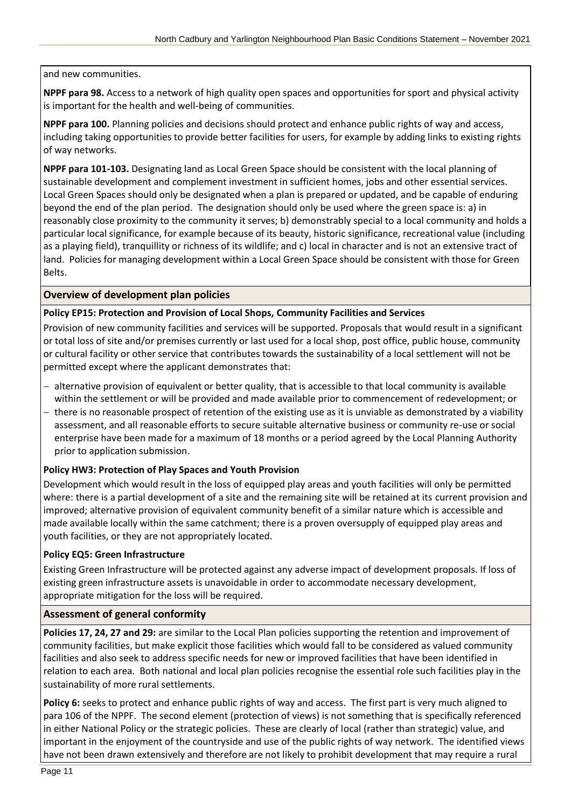#### and new communities.

**NPPF para 98.** Access to a network of high quality open spaces and opportunities for sport and physical activity is important for the health and well-being of communities.

**NPPF para 100.** Planning policies and decisions should protect and enhance public rights of way and access, including taking opportunities to provide better facilities for users, for example by adding links to existing rights of way networks.

**NPPF para 101-103.** Designating land as Local Green Space should be consistent with the local planning of sustainable development and complement investment in sufficient homes, jobs and other essential services. Local Green Spaces should only be designated when a plan is prepared or updated, and be capable of enduring beyond the end of the plan period. The designation should only be used where the green space is: a) in reasonably close proximity to the community it serves; b) demonstrably special to a local community and holds a particular local significance, for example because of its beauty, historic significance, recreational value (including as a playing field), tranquillity or richness of its wildlife; and c) local in character and is not an extensive tract of land. Policies for managing development within a Local Green Space should be consistent with those for Green Belts.

#### **Overview of development plan policies**

#### **Policy EP15: Protection and Provision of Local Shops, Community Facilities and Services**

Provision of new community facilities and services will be supported. Proposals that would result in a significant or total loss of site and/or premises currently or last used for a local shop, post office, public house, community or cultural facility or other service that contributes towards the sustainability of a local settlement will not be permitted except where the applicant demonstrates that:

- − alternative provision of equivalent or better quality, that is accessible to that local community is available within the settlement or will be provided and made available prior to commencement of redevelopment; or
- − there is no reasonable prospect of retention of the existing use as it is unviable as demonstrated by a viability assessment, and all reasonable efforts to secure suitable alternative business or community re-use or social enterprise have been made for a maximum of 18 months or a period agreed by the Local Planning Authority prior to application submission.

#### **Policy HW3: Protection of Play Spaces and Youth Provision**

Development which would result in the loss of equipped play areas and youth facilities will only be permitted where: there is a partial development of a site and the remaining site will be retained at its current provision and improved; alternative provision of equivalent community benefit of a similar nature which is accessible and made available locally within the same catchment; there is a proven oversupply of equipped play areas and youth facilities, or they are not appropriately located.

#### **Policy EQ5: Green Infrastructure**

Existing Green Infrastructure will be protected against any adverse impact of development proposals. If loss of existing green infrastructure assets is unavoidable in order to accommodate necessary development, appropriate mitigation for the loss will be required.

#### **Assessment of general conformity**

**Policies 17, 24, 27 and 29:** are similar to the Local Plan policies supporting the retention and improvement of community facilities, but make explicit those facilities which would fall to be considered as valued community facilities and also seek to address specific needs for new or improved facilities that have been identified in relation to each area. Both national and local plan policies recognise the essential role such facilities play in the sustainability of more rural settlements.

**Policy 6:** seeks to protect and enhance public rights of way and access. The first part is very much aligned to para 106 of the NPPF. The second element (protection of views) is not something that is specifically referenced in either National Policy or the strategic policies. These are clearly of local (rather than strategic) value, and important in the enjoyment of the countryside and use of the public rights of way network. The identified views have not been drawn extensively and therefore are not likely to prohibit development that may require a rural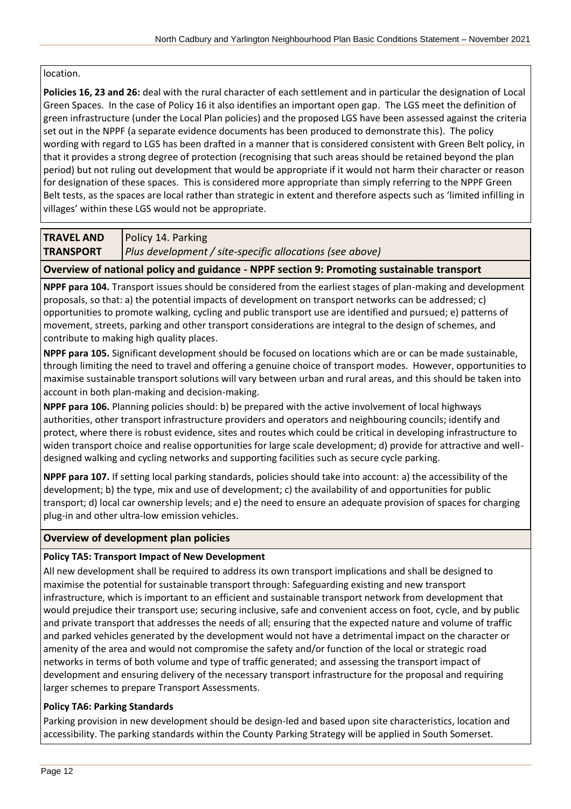#### location.

**Policies 16, 23 and 26:** deal with the rural character of each settlement and in particular the designation of Local Green Spaces. In the case of Policy 16 it also identifies an important open gap. The LGS meet the definition of green infrastructure (under the Local Plan policies) and the proposed LGS have been assessed against the criteria set out in the NPPF (a separate evidence documents has been produced to demonstrate this). The policy wording with regard to LGS has been drafted in a manner that is considered consistent with Green Belt policy, in that it provides a strong degree of protection (recognising that such areas should be retained beyond the plan period) but not ruling out development that would be appropriate if it would not harm their character or reason for designation of these spaces. This is considered more appropriate than simply referring to the NPPF Green Belt tests, as the spaces are local rather than strategic in extent and therefore aspects such as 'limited infilling in villages' within these LGS would not be appropriate.

#### **TRAVEL AND TRANSPORT** Policy 14. Parking *Plus development / site-specific allocations (see above)*

**Overview of national policy and guidance - NPPF section 9: Promoting sustainable transport**

**NPPF para 104.** Transport issues should be considered from the earliest stages of plan-making and development proposals, so that: a) the potential impacts of development on transport networks can be addressed; c) opportunities to promote walking, cycling and public transport use are identified and pursued; e) patterns of movement, streets, parking and other transport considerations are integral to the design of schemes, and contribute to making high quality places.

**NPPF para 105.** Significant development should be focused on locations which are or can be made sustainable, through limiting the need to travel and offering a genuine choice of transport modes. However, opportunities to maximise sustainable transport solutions will vary between urban and rural areas, and this should be taken into account in both plan-making and decision-making.

**NPPF para 106.** Planning policies should: b) be prepared with the active involvement of local highways authorities, other transport infrastructure providers and operators and neighbouring councils; identify and protect, where there is robust evidence, sites and routes which could be critical in developing infrastructure to widen transport choice and realise opportunities for large scale development; d) provide for attractive and welldesigned walking and cycling networks and supporting facilities such as secure cycle parking.

**NPPF para 107.** If setting local parking standards, policies should take into account: a) the accessibility of the development; b) the type, mix and use of development; c) the availability of and opportunities for public transport; d) local car ownership levels; and e) the need to ensure an adequate provision of spaces for charging plug-in and other ultra-low emission vehicles.

## **Overview of development plan policies**

## **Policy TA5: Transport Impact of New Development**

All new development shall be required to address its own transport implications and shall be designed to maximise the potential for sustainable transport through: Safeguarding existing and new transport infrastructure, which is important to an efficient and sustainable transport network from development that would prejudice their transport use; securing inclusive, safe and convenient access on foot, cycle, and by public and private transport that addresses the needs of all; ensuring that the expected nature and volume of traffic and parked vehicles generated by the development would not have a detrimental impact on the character or amenity of the area and would not compromise the safety and/or function of the local or strategic road networks in terms of both volume and type of traffic generated; and assessing the transport impact of development and ensuring delivery of the necessary transport infrastructure for the proposal and requiring larger schemes to prepare Transport Assessments.

## **Policy TA6: Parking Standards**

Parking provision in new development should be design-led and based upon site characteristics, location and accessibility. The parking standards within the County Parking Strategy will be applied in South Somerset.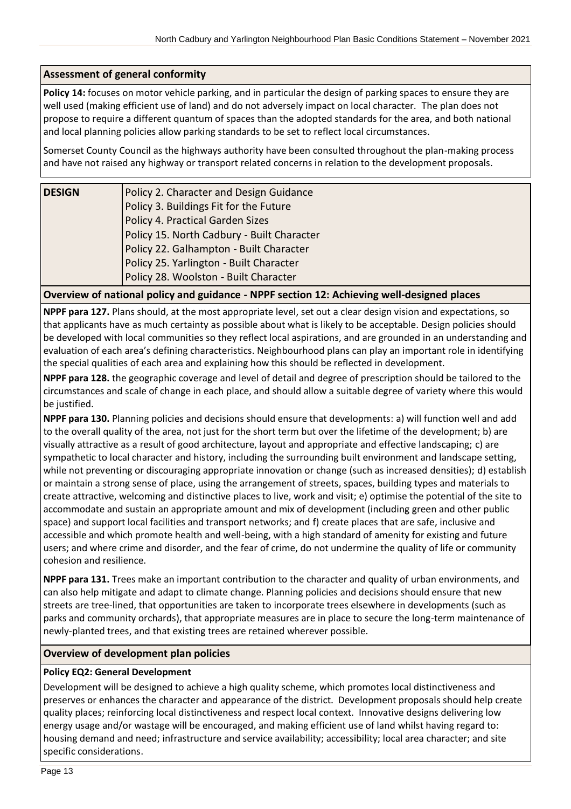#### **Assessment of general conformity**

**Policy 14:** focuses on motor vehicle parking, and in particular the design of parking spaces to ensure they are well used (making efficient use of land) and do not adversely impact on local character. The plan does not propose to require a different quantum of spaces than the adopted standards for the area, and both national and local planning policies allow parking standards to be set to reflect local circumstances.

Somerset County Council as the highways authority have been consulted throughout the plan-making process and have not raised any highway or transport related concerns in relation to the development proposals.

| <b>DESIGN</b> | Policy 2. Character and Design Guidance    |
|---------------|--------------------------------------------|
|               | Policy 3. Buildings Fit for the Future     |
|               | Policy 4. Practical Garden Sizes           |
|               | Policy 15. North Cadbury - Built Character |
|               | Policy 22. Galhampton - Built Character    |
|               | Policy 25. Yarlington - Built Character    |
|               | Policy 28. Woolston - Built Character      |
|               |                                            |

#### **Overview of national policy and guidance - NPPF section 12: Achieving well-designed places**

**NPPF para 127.** Plans should, at the most appropriate level, set out a clear design vision and expectations, so that applicants have as much certainty as possible about what is likely to be acceptable. Design policies should be developed with local communities so they reflect local aspirations, and are grounded in an understanding and evaluation of each area's defining characteristics. Neighbourhood plans can play an important role in identifying the special qualities of each area and explaining how this should be reflected in development.

**NPPF para 128.** the geographic coverage and level of detail and degree of prescription should be tailored to the circumstances and scale of change in each place, and should allow a suitable degree of variety where this would be justified.

**NPPF para 130.** Planning policies and decisions should ensure that developments: a) will function well and add to the overall quality of the area, not just for the short term but over the lifetime of the development; b) are visually attractive as a result of good architecture, layout and appropriate and effective landscaping; c) are sympathetic to local character and history, including the surrounding built environment and landscape setting, while not preventing or discouraging appropriate innovation or change (such as increased densities); d) establish or maintain a strong sense of place, using the arrangement of streets, spaces, building types and materials to create attractive, welcoming and distinctive places to live, work and visit; e) optimise the potential of the site to accommodate and sustain an appropriate amount and mix of development (including green and other public space) and support local facilities and transport networks; and f) create places that are safe, inclusive and accessible and which promote health and well-being, with a high standard of amenity for existing and future users; and where crime and disorder, and the fear of crime, do not undermine the quality of life or community cohesion and resilience.

**NPPF para 131.** Trees make an important contribution to the character and quality of urban environments, and can also help mitigate and adapt to climate change. Planning policies and decisions should ensure that new streets are tree-lined, that opportunities are taken to incorporate trees elsewhere in developments (such as parks and community orchards), that appropriate measures are in place to secure the long-term maintenance of newly-planted trees, and that existing trees are retained wherever possible.

#### **Overview of development plan policies**

#### **Policy EQ2: General Development**

Development will be designed to achieve a high quality scheme, which promotes local distinctiveness and preserves or enhances the character and appearance of the district. Development proposals should help create quality places; reinforcing local distinctiveness and respect local context. Innovative designs delivering low energy usage and/or wastage will be encouraged, and making efficient use of land whilst having regard to: housing demand and need; infrastructure and service availability; accessibility; local area character; and site specific considerations.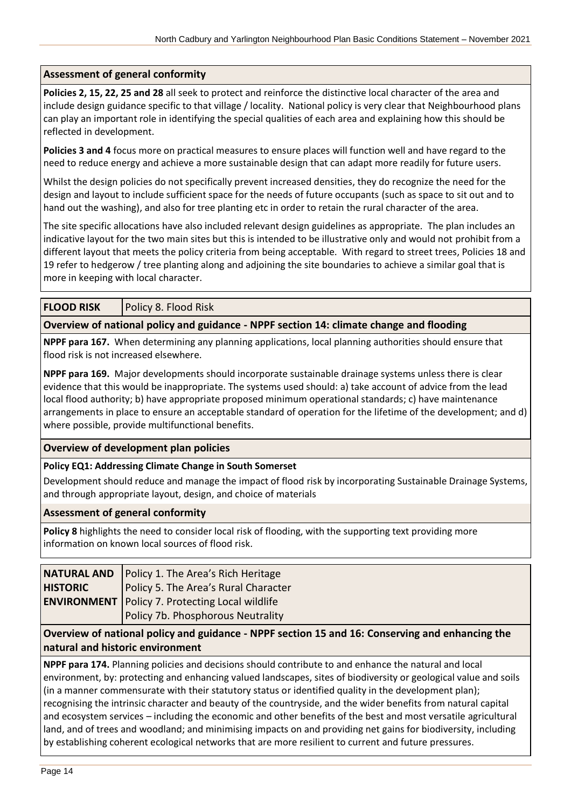#### **Assessment of general conformity**

**Policies 2, 15, 22, 25 and 28** all seek to protect and reinforce the distinctive local character of the area and include design guidance specific to that village / locality. National policy is very clear that Neighbourhood plans can play an important role in identifying the special qualities of each area and explaining how this should be reflected in development.

**Policies 3 and 4** focus more on practical measures to ensure places will function well and have regard to the need to reduce energy and achieve a more sustainable design that can adapt more readily for future users.

Whilst the design policies do not specifically prevent increased densities, they do recognize the need for the design and layout to include sufficient space for the needs of future occupants (such as space to sit out and to hand out the washing), and also for tree planting etc in order to retain the rural character of the area.

The site specific allocations have also included relevant design guidelines as appropriate. The plan includes an indicative layout for the two main sites but this is intended to be illustrative only and would not prohibit from a different layout that meets the policy criteria from being acceptable. With regard to street trees, Policies 18 and 19 refer to hedgerow / tree planting along and adjoining the site boundaries to achieve a similar goal that is more in keeping with local character.

#### **FLOOD RISK** | Policy 8. Flood Risk

#### **Overview of national policy and guidance - NPPF section 14: climate change and flooding**

**NPPF para 167.** When determining any planning applications, local planning authorities should ensure that flood risk is not increased elsewhere.

**NPPF para 169.** Major developments should incorporate sustainable drainage systems unless there is clear evidence that this would be inappropriate. The systems used should: a) take account of advice from the lead local flood authority; b) have appropriate proposed minimum operational standards; c) have maintenance arrangements in place to ensure an acceptable standard of operation for the lifetime of the development; and d) where possible, provide multifunctional benefits.

#### **Overview of development plan policies**

#### **Policy EQ1: Addressing Climate Change in South Somerset**

Development should reduce and manage the impact of flood risk by incorporating Sustainable Drainage Systems, and through appropriate layout, design, and choice of materials

#### **Assessment of general conformity**

**Policy 8** highlights the need to consider local risk of flooding, with the supporting text providing more information on known local sources of flood risk.

|                 | NATURAL AND   Policy 1. The Area's Rich Heritage       |
|-----------------|--------------------------------------------------------|
| <b>HISTORIC</b> | Policy 5. The Area's Rural Character                   |
|                 | <b>ENVIRONMENT</b> Policy 7. Protecting Local wildlife |
|                 | Policy 7b. Phosphorous Neutrality                      |

**Overview of national policy and guidance - NPPF section 15 and 16: Conserving and enhancing the natural and historic environment**

**NPPF para 174.** Planning policies and decisions should contribute to and enhance the natural and local environment, by: protecting and enhancing valued landscapes, sites of biodiversity or geological value and soils (in a manner commensurate with their statutory status or identified quality in the development plan); recognising the intrinsic character and beauty of the countryside, and the wider benefits from natural capital and ecosystem services – including the economic and other benefits of the best and most versatile agricultural land, and of trees and woodland; and minimising impacts on and providing net gains for biodiversity, including by establishing coherent ecological networks that are more resilient to current and future pressures.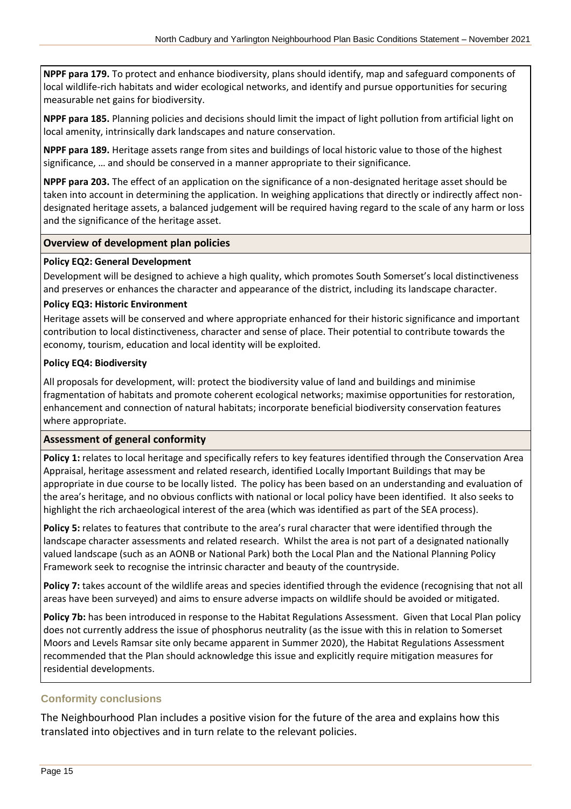**NPPF para 179.** To protect and enhance biodiversity, plans should identify, map and safeguard components of local wildlife-rich habitats and wider ecological networks, and identify and pursue opportunities for securing measurable net gains for biodiversity.

**NPPF para 185.** Planning policies and decisions should limit the impact of light pollution from artificial light on local amenity, intrinsically dark landscapes and nature conservation.

**NPPF para 189.** Heritage assets range from sites and buildings of local historic value to those of the highest significance, … and should be conserved in a manner appropriate to their significance.

**NPPF para 203.** The effect of an application on the significance of a non-designated heritage asset should be taken into account in determining the application. In weighing applications that directly or indirectly affect nondesignated heritage assets, a balanced judgement will be required having regard to the scale of any harm or loss and the significance of the heritage asset.

#### **Overview of development plan policies**

#### **Policy EQ2: General Development**

Development will be designed to achieve a high quality, which promotes South Somerset's local distinctiveness and preserves or enhances the character and appearance of the district, including its landscape character.

#### **Policy EQ3: Historic Environment**

Heritage assets will be conserved and where appropriate enhanced for their historic significance and important contribution to local distinctiveness, character and sense of place. Their potential to contribute towards the economy, tourism, education and local identity will be exploited.

#### **Policy EQ4: Biodiversity**

All proposals for development, will: protect the biodiversity value of land and buildings and minimise fragmentation of habitats and promote coherent ecological networks; maximise opportunities for restoration, enhancement and connection of natural habitats; incorporate beneficial biodiversity conservation features where appropriate.

#### **Assessment of general conformity**

**Policy 1:** relates to local heritage and specifically refers to key features identified through the Conservation Area Appraisal, heritage assessment and related research, identified Locally Important Buildings that may be appropriate in due course to be locally listed. The policy has been based on an understanding and evaluation of the area's heritage, and no obvious conflicts with national or local policy have been identified. It also seeks to highlight the rich archaeological interest of the area (which was identified as part of the SEA process).

**Policy 5:** relates to features that contribute to the area's rural character that were identified through the landscape character assessments and related research. Whilst the area is not part of a designated nationally valued landscape (such as an AONB or National Park) both the Local Plan and the National Planning Policy Framework seek to recognise the intrinsic character and beauty of the countryside.

Policy 7: takes account of the wildlife areas and species identified through the evidence (recognising that not all areas have been surveyed) and aims to ensure adverse impacts on wildlife should be avoided or mitigated.

**Policy 7b:** has been introduced in response to the Habitat Regulations Assessment. Given that Local Plan policy does not currently address the issue of phosphorus neutrality (as the issue with this in relation to Somerset Moors and Levels Ramsar site only became apparent in Summer 2020), the Habitat Regulations Assessment recommended that the Plan should acknowledge this issue and explicitly require mitigation measures for residential developments.

## <span id="page-14-0"></span>**Conformity conclusions**

The Neighbourhood Plan includes a positive vision for the future of the area and explains how this translated into objectives and in turn relate to the relevant policies.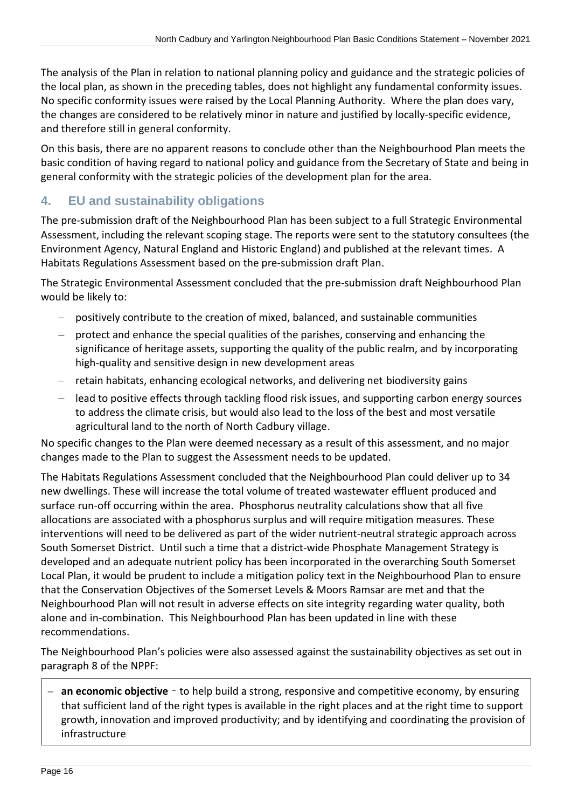The analysis of the Plan in relation to national planning policy and guidance and the strategic policies of the local plan, as shown in the preceding tables, does not highlight any fundamental conformity issues. No specific conformity issues were raised by the Local Planning Authority. Where the plan does vary, the changes are considered to be relatively minor in nature and justified by locally-specific evidence, and therefore still in general conformity.

On this basis, there are no apparent reasons to conclude other than the Neighbourhood Plan meets the basic condition of having regard to national policy and guidance from the Secretary of State and being in general conformity with the strategic policies of the development plan for the area.

## <span id="page-15-0"></span>**4. EU and sustainability obligations**

The pre-submission draft of the Neighbourhood Plan has been subject to a full Strategic Environmental Assessment, including the relevant scoping stage. The reports were sent to the statutory consultees (the Environment Agency, Natural England and Historic England) and published at the relevant times. A Habitats Regulations Assessment based on the pre-submission draft Plan.

The Strategic Environmental Assessment concluded that the pre-submission draft Neighbourhood Plan would be likely to:

- − positively contribute to the creation of mixed, balanced, and sustainable communities
- protect and enhance the special qualities of the parishes, conserving and enhancing the significance of heritage assets, supporting the quality of the public realm, and by incorporating high-quality and sensitive design in new development areas
- − retain habitats, enhancing ecological networks, and delivering net biodiversity gains
- − lead to positive effects through tackling flood risk issues, and supporting carbon energy sources to address the climate crisis, but would also lead to the loss of the best and most versatile agricultural land to the north of North Cadbury village.

No specific changes to the Plan were deemed necessary as a result of this assessment, and no major changes made to the Plan to suggest the Assessment needs to be updated.

The Habitats Regulations Assessment concluded that the Neighbourhood Plan could deliver up to 34 new dwellings. These will increase the total volume of treated wastewater effluent produced and surface run-off occurring within the area. Phosphorus neutrality calculations show that all five allocations are associated with a phosphorus surplus and will require mitigation measures. These interventions will need to be delivered as part of the wider nutrient-neutral strategic approach across South Somerset District. Until such a time that a district-wide Phosphate Management Strategy is developed and an adequate nutrient policy has been incorporated in the overarching South Somerset Local Plan, it would be prudent to include a mitigation policy text in the Neighbourhood Plan to ensure that the Conservation Objectives of the Somerset Levels & Moors Ramsar are met and that the Neighbourhood Plan will not result in adverse effects on site integrity regarding water quality, both alone and in-combination. This Neighbourhood Plan has been updated in line with these recommendations.

The Neighbourhood Plan's policies were also assessed against the sustainability objectives as set out in paragraph 8 of the NPPF:

**an economic objective** − to help build a strong, responsive and competitive economy, by ensuring that sufficient land of the right types is available in the right places and at the right time to support growth, innovation and improved productivity; and by identifying and coordinating the provision of infrastructure